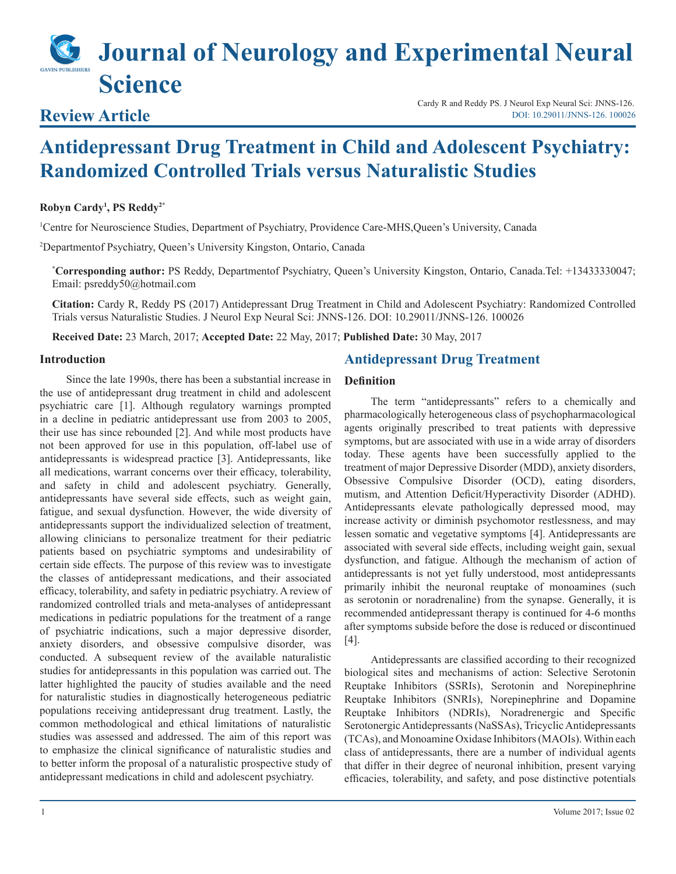# **Journal of Neurology and Experimental Neural Science**

# **Review Article**

Cardy R and Reddy PS. J Neurol Exp Neural Sci: JNNS-126. [DOI: 10.29011/JNNS-126. 100026](http://doi.org/10.29011/JNNS-126. 100026)

# **Antidepressant Drug Treatment in Child and Adolescent Psychiatry: Randomized Controlled Trials versus Naturalistic Studies**

#### **Robyn Cardy1 , PS Reddy2\***

1 Centre for Neuroscience Studies, Department of Psychiatry, Providence Care-MHS,Queen's University, Canada

2 Departmentof Psychiatry, Queen's University Kingston, Ontario, Canada

**\* Corresponding author:** PS Reddy, Departmentof Psychiatry, Queen's University Kingston, Ontario, Canada.Tel: +13433330047; Email: psreddy50@hotmail.com

**Citation:** Cardy R, Reddy PS (2017) Antidepressant Drug Treatment in Child and Adolescent Psychiatry: Randomized Controlled Trials versus Naturalistic Studies. J Neurol Exp Neural Sci: JNNS-126. DOI: 10.29011/JNNS-126. 100026

**Received Date:** 23 March, 2017; **Accepted Date:** 22 May, 2017; **Published Date:** 30 May, 2017

#### **Introduction**

Since the late 1990s, there has been a substantial increase in the use of antidepressant drug treatment in child and adolescent psychiatric care [1]. Although regulatory warnings prompted in a decline in pediatric antidepressant use from 2003 to 2005, their use has since rebounded [2]. And while most products have not been approved for use in this population, off-label use of antidepressants is widespread practice [3]. Antidepressants, like all medications, warrant concerns over their efficacy, tolerability, and safety in child and adolescent psychiatry. Generally, antidepressants have several side effects, such as weight gain, fatigue, and sexual dysfunction. However, the wide diversity of antidepressants support the individualized selection of treatment, allowing clinicians to personalize treatment for their pediatric patients based on psychiatric symptoms and undesirability of certain side effects. The purpose of this review was to investigate the classes of antidepressant medications, and their associated efficacy, tolerability, and safety in pediatric psychiatry. A review of randomized controlled trials and meta-analyses of antidepressant medications in pediatric populations for the treatment of a range of psychiatric indications, such a major depressive disorder, anxiety disorders, and obsessive compulsive disorder, was conducted. A subsequent review of the available naturalistic studies for antidepressants in this population was carried out. The latter highlighted the paucity of studies available and the need for naturalistic studies in diagnostically heterogeneous pediatric populations receiving antidepressant drug treatment. Lastly, the common methodological and ethical limitations of naturalistic studies was assessed and addressed. The aim of this report was to emphasize the clinical significance of naturalistic studies and to better inform the proposal of a naturalistic prospective study of antidepressant medications in child and adolescent psychiatry.

#### **Antidepressant Drug Treatment**

#### **Definition**

The term "antidepressants" refers to a chemically and pharmacologically heterogeneous class of psychopharmacological agents originally prescribed to treat patients with depressive symptoms, but are associated with use in a wide array of disorders today. These agents have been successfully applied to the treatment of major Depressive Disorder (MDD), anxiety disorders, Obsessive Compulsive Disorder (OCD), eating disorders, mutism, and Attention Deficit/Hyperactivity Disorder (ADHD). Antidepressants elevate pathologically depressed mood, may increase activity or diminish psychomotor restlessness, and may lessen somatic and vegetative symptoms [4]. Antidepressants are associated with several side effects, including weight gain, sexual dysfunction, and fatigue. Although the mechanism of action of antidepressants is not yet fully understood, most antidepressants primarily inhibit the neuronal reuptake of monoamines (such as serotonin or noradrenaline) from the synapse. Generally, it is recommended antidepressant therapy is continued for 4-6 months after symptoms subside before the dose is reduced or discontinued [4].

Antidepressants are classified according to their recognized biological sites and mechanisms of action: Selective Serotonin Reuptake Inhibitors (SSRIs), Serotonin and Norepinephrine Reuptake Inhibitors (SNRIs), Norepinephrine and Dopamine Reuptake Inhibitors (NDRIs), Noradrenergic and Specific Serotonergic Antidepressants (NaSSAs), Tricyclic Antidepressants (TCAs), and Monoamine Oxidase Inhibitors (MAOIs). Within each class of antidepressants, there are a number of individual agents that differ in their degree of neuronal inhibition, present varying efficacies, tolerability, and safety, and pose distinctive potentials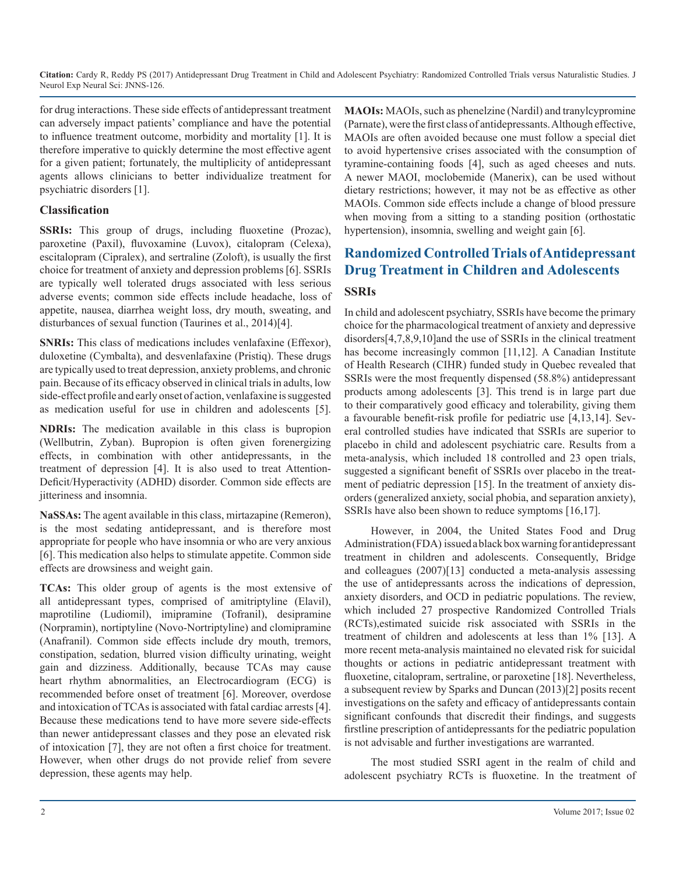for drug interactions. These side effects of antidepressant treatment can adversely impact patients' compliance and have the potential to influence treatment outcome, morbidity and mortality [1]. It is therefore imperative to quickly determine the most effective agent for a given patient; fortunately, the multiplicity of antidepressant agents allows clinicians to better individualize treatment for psychiatric disorders [1].

#### **Classification**

**SSRIs:** This group of drugs, including fluoxetine (Prozac), paroxetine (Paxil), fluvoxamine (Luvox), citalopram (Celexa), escitalopram (Cipralex), and sertraline (Zoloft), is usually the first choice for treatment of anxiety and depression problems [6]. SSRIs are typically well tolerated drugs associated with less serious adverse events; common side effects include headache, loss of appetite, nausea, diarrhea weight loss, dry mouth, sweating, and disturbances of sexual function (Taurines et al., 2014)[4].

**SNRIs:** This class of medications includes venlafaxine (Effexor), duloxetine (Cymbalta), and desvenlafaxine (Pristiq). These drugs are typically used to treat depression, anxiety problems, and chronic pain. Because of its efficacy observed in clinical trials in adults, low side-effect profile and early onset of action, venlafaxine is suggested as medication useful for use in children and adolescents [5].

**NDRIs:** The medication available in this class is bupropion (Wellbutrin, Zyban). Bupropion is often given forenergizing effects, in combination with other antidepressants, in the treatment of depression [4]. It is also used to treat Attention-Deficit/Hyperactivity (ADHD) disorder. Common side effects are iitteriness and insomnia.

**NaSSAs:** The agent available in this class, mirtazapine (Remeron), is the most sedating antidepressant, and is therefore most appropriate for people who have insomnia or who are very anxious [6]. This medication also helps to stimulate appetite. Common side effects are drowsiness and weight gain.

**TCAs:** This older group of agents is the most extensive of all antidepressant types, comprised of amitriptyline (Elavil), maprotiline (Ludiomil), imipramine (Tofranil), desipramine (Norpramin), nortiptyline (Novo-Nortriptyline) and clomipramine (Anafranil). Common side effects include dry mouth, tremors, constipation, sedation, blurred vision difficulty urinating, weight gain and dizziness. Additionally, because TCAs may cause heart rhythm abnormalities, an Electrocardiogram (ECG) is recommended before onset of treatment [6]. Moreover, overdose and intoxication of TCAs is associated with fatal cardiac arrests [4]. Because these medications tend to have more severe side-effects than newer antidepressant classes and they pose an elevated risk of intoxication [7], they are not often a first choice for treatment. However, when other drugs do not provide relief from severe depression, these agents may help.

**MAOIs:** MAOIs, such as phenelzine (Nardil) and tranylcypromine (Parnate), were the first class of antidepressants. Although effective, MAOIs are often avoided because one must follow a special diet to avoid hypertensive crises associated with the consumption of tyramine-containing foods [4], such as aged cheeses and nuts. A newer MAOI, moclobemide (Manerix), can be used without dietary restrictions; however, it may not be as effective as other MAOIs. Common side effects include a change of blood pressure when moving from a sitting to a standing position (orthostatic hypertension), insomnia, swelling and weight gain [6].

## **Randomized Controlled Trials of Antidepressant Drug Treatment in Children and Adolescents**

#### **SSRIs**

In child and adolescent psychiatry, SSRIs have become the primary choice for the pharmacological treatment of anxiety and depressive disorders[4,7,8,9,10]and the use of SSRIs in the clinical treatment has become increasingly common [11,12]. A Canadian Institute of Health Research (CIHR) funded study in Quebec revealed that SSRIs were the most frequently dispensed (58.8%) antidepressant products among adolescents [3]. This trend is in large part due to their comparatively good efficacy and tolerability, giving them a favourable benefit-risk profile for pediatric use [4,13,14]. Several controlled studies have indicated that SSRIs are superior to placebo in child and adolescent psychiatric care. Results from a meta-analysis, which included 18 controlled and 23 open trials, suggested a significant benefit of SSRIs over placebo in the treatment of pediatric depression [15]. In the treatment of anxiety disorders (generalized anxiety, social phobia, and separation anxiety), SSRIs have also been shown to reduce symptoms [16,17].

However, in 2004, the United States Food and Drug Administration (FDA) issued a black box warning for antidepressant treatment in children and adolescents. Consequently, Bridge and colleagues (2007)[13] conducted a meta-analysis assessing the use of antidepressants across the indications of depression, anxiety disorders, and OCD in pediatric populations. The review, which included 27 prospective Randomized Controlled Trials (RCTs),estimated suicide risk associated with SSRIs in the treatment of children and adolescents at less than 1% [13]. A more recent meta-analysis maintained no elevated risk for suicidal thoughts or actions in pediatric antidepressant treatment with fluoxetine, citalopram, sertraline, or paroxetine [18]. Nevertheless, a subsequent review by Sparks and Duncan (2013)[2] posits recent investigations on the safety and efficacy of antidepressants contain significant confounds that discredit their findings, and suggests firstline prescription of antidepressants for the pediatric population is not advisable and further investigations are warranted.

The most studied SSRI agent in the realm of child and adolescent psychiatry RCTs is fluoxetine. In the treatment of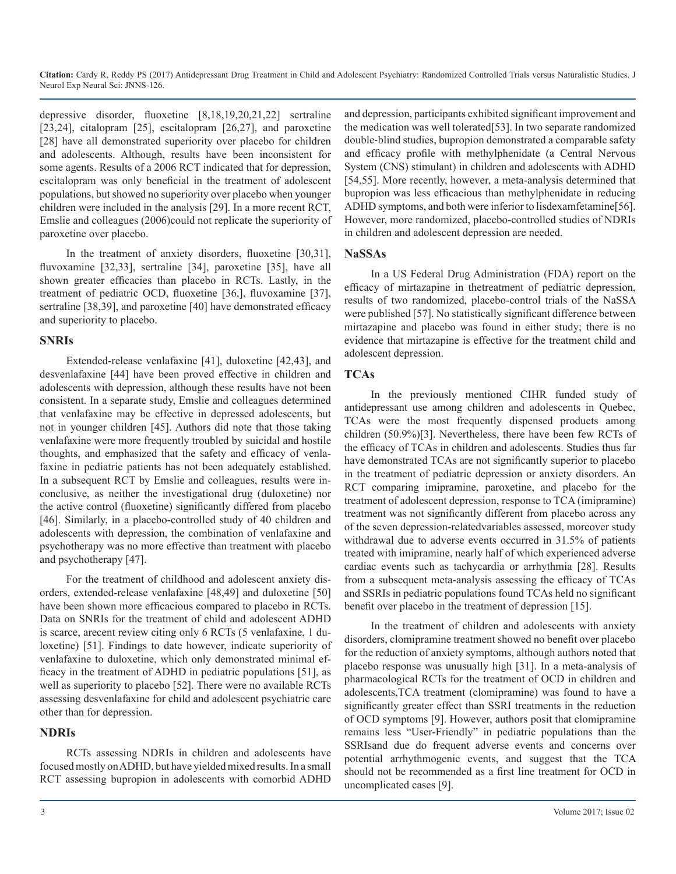depressive disorder, fluoxetine [8,18,19,20,21,22] sertraline [23,24], citalopram [25], escitalopram [26,27], and paroxetine [28] have all demonstrated superiority over placebo for children and adolescents. Although, results have been inconsistent for some agents. Results of a 2006 RCT indicated that for depression, escitalopram was only beneficial in the treatment of adolescent populations, but showed no superiority over placebo when younger children were included in the analysis [29]. In a more recent RCT, Emslie and colleagues (2006)could not replicate the superiority of paroxetine over placebo.

In the treatment of anxiety disorders, fluoxetine [30,31], fluvoxamine [32,33], sertraline [34], paroxetine [35], have all shown greater efficacies than placebo in RCTs. Lastly, in the treatment of pediatric OCD, fluoxetine [36,], fluvoxamine [37], sertraline [38,39], and paroxetine [40] have demonstrated efficacy and superiority to placebo.

#### **SNRIs**

Extended-release venlafaxine [41], duloxetine [42,43], and desvenlafaxine [44] have been proved effective in children and adolescents with depression, although these results have not been consistent. In a separate study, Emslie and colleagues determined that venlafaxine may be effective in depressed adolescents, but not in younger children [45]. Authors did note that those taking venlafaxine were more frequently troubled by suicidal and hostile thoughts, and emphasized that the safety and efficacy of venlafaxine in pediatric patients has not been adequately established. In a subsequent RCT by Emslie and colleagues, results were inconclusive, as neither the investigational drug (duloxetine) nor the active control (fluoxetine) significantly differed from placebo [46]. Similarly, in a placebo-controlled study of 40 children and adolescents with depression, the combination of venlafaxine and psychotherapy was no more effective than treatment with placebo and psychotherapy [47].

For the treatment of childhood and adolescent anxiety disorders, extended-release venlafaxine [48,49] and duloxetine [50] have been shown more efficacious compared to placebo in RCTs. Data on SNRIs for the treatment of child and adolescent ADHD is scarce, arecent review citing only 6 RCTs (5 venlafaxine, 1 duloxetine) [51]. Findings to date however, indicate superiority of venlafaxine to duloxetine, which only demonstrated minimal efficacy in the treatment of ADHD in pediatric populations [51], as well as superiority to placebo [52]. There were no available RCTs assessing desvenlafaxine for child and adolescent psychiatric care other than for depression.

#### **NDRIs**

RCTs assessing NDRIs in children and adolescents have focused mostly on ADHD, but have yielded mixed results. In a small RCT assessing bupropion in adolescents with comorbid ADHD and depression, participants exhibited significant improvement and the medication was well tolerated[53]. In two separate randomized double‐blind studies, bupropion demonstrated a comparable safety and efficacy profile with methylphenidate (a Central Nervous System (CNS) stimulant) in children and adolescents with ADHD [54,55]. More recently, however, a meta-analysis determined that bupropion was less efficacious than methylphenidate in reducing ADHD symptoms, and both were inferior to lisdexamfetamine[56]. However, more randomized, placebo-controlled studies of NDRIs in children and adolescent depression are needed.

#### **NaSSAs**

In a US Federal Drug Administration (FDA) report on the efficacy of mirtazapine in thetreatment of pediatric depression, results of two randomized, placebo-control trials of the NaSSA were published [57]. No statistically significant difference between mirtazapine and placebo was found in either study; there is no evidence that mirtazapine is effective for the treatment child and adolescent depression.

#### **TCAs**

In the previously mentioned CIHR funded study of antidepressant use among children and adolescents in Quebec, TCAs were the most frequently dispensed products among children (50.9%)[3]. Nevertheless, there have been few RCTs of the efficacy of TCAs in children and adolescents. Studies thus far have demonstrated TCAs are not significantly superior to placebo in the treatment of pediatric depression or anxiety disorders. An RCT comparing imipramine, paroxetine, and placebo for the treatment of adolescent depression, response to TCA (imipramine) treatment was not significantly different from placebo across any of the seven depression-relatedvariables assessed, moreover study withdrawal due to adverse events occurred in 31.5% of patients treated with imipramine, nearly half of which experienced adverse cardiac events such as tachycardia or arrhythmia [28]. Results from a subsequent meta-analysis assessing the efficacy of TCAs and SSRIs in pediatric populations found TCAs held no significant benefit over placebo in the treatment of depression [15].

In the treatment of children and adolescents with anxiety disorders, clomipramine treatment showed no benefit over placebo for the reduction of anxiety symptoms, although authors noted that placebo response was unusually high [31]. In a meta-analysis of pharmacological RCTs for the treatment of OCD in children and adolescents,TCA treatment (clomipramine) was found to have a significantly greater effect than SSRI treatments in the reduction of OCD symptoms [9]. However, authors posit that clomipramine remains less "User-Friendly" in pediatric populations than the SSRIsand due do frequent adverse events and concerns over potential arrhythmogenic events, and suggest that the TCA should not be recommended as a first line treatment for OCD in uncomplicated cases [9].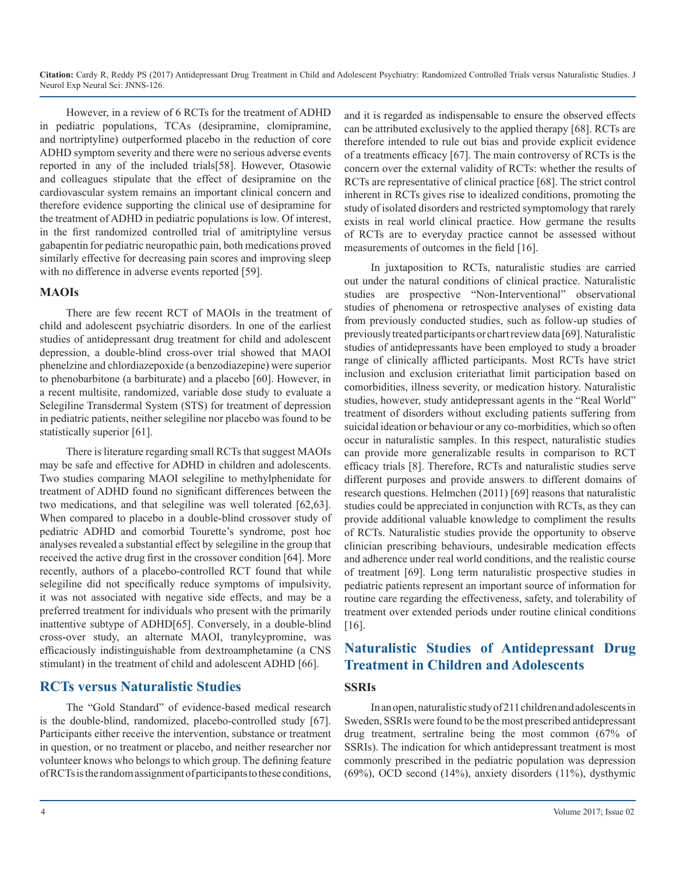However, in a review of 6 RCTs for the treatment of ADHD in pediatric populations, TCAs (desipramine, clomipramine, and nortriptyline) outperformed placebo in the reduction of core ADHD symptom severity and there were no serious adverse events reported in any of the included trials[58]. However, Otasowie and colleagues stipulate that the effect of desipramine on the cardiovascular system remains an important clinical concern and therefore evidence supporting the clinical use of desipramine for the treatment of ADHD in pediatric populations is low. Of interest, in the first randomized controlled trial of amitriptyline versus gabapentin for pediatric neuropathic pain, both medications proved similarly effective for decreasing pain scores and improving sleep with no difference in adverse events reported [59].

#### **MAOIs**

There are few recent RCT of MAOIs in the treatment of child and adolescent psychiatric disorders. In one of the earliest studies of antidepressant drug treatment for child and adolescent depression, a double-blind cross-over trial showed that MAOI phenelzine and chlordiazepoxide (a benzodiazepine) were superior to phenobarbitone (a barbiturate) and a placebo [60]. However, in a recent multisite, randomized, variable dose study to evaluate a Selegiline Transdermal System (STS) for treatment of depression in pediatric patients, neither selegiline nor placebo was found to be statistically superior [61].

There is literature regarding small RCTs that suggest MAOIs may be safe and effective for ADHD in children and adolescents. Two studies comparing MAOI selegiline to methylphenidate for treatment of ADHD found no significant differences between the two medications, and that selegiline was well tolerated [62,63]. When compared to placebo in a double-blind crossover study of pediatric ADHD and comorbid Tourette's syndrome, post hoc analyses revealed a substantial effect by selegiline in the group that received the active drug first in the crossover condition [64]. More recently, authors of a placebo-controlled RCT found that while selegiline did not specifically reduce symptoms of impulsivity, it was not associated with negative side effects, and may be a preferred treatment for individuals who present with the primarily inattentive subtype of ADHD[65]. Conversely, in a double-blind cross-over study, an alternate MAOI, tranylcypromine, was efficaciously indistinguishable from dextroamphetamine (a CNS stimulant) in the treatment of child and adolescent ADHD [66].

#### **RCTs versus Naturalistic Studies**

The "Gold Standard" of evidence-based medical research is the double-blind, randomized, placebo-controlled study [67]. Participants either receive the intervention, substance or treatment in question, or no treatment or placebo, and neither researcher nor volunteer knows who belongs to which group. The defining feature of RCTs is the random assignment of participants to these conditions, and it is regarded as indispensable to ensure the observed effects can be attributed exclusively to the applied therapy [68]. RCTs are therefore intended to rule out bias and provide explicit evidence of a treatments efficacy [67]. The main controversy of RCTs is the concern over the external validity of RCTs: whether the results of RCTs are representative of clinical practice [68]. The strict control inherent in RCTs gives rise to idealized conditions, promoting the study of isolated disorders and restricted symptomology that rarely exists in real world clinical practice. How germane the results of RCTs are to everyday practice cannot be assessed without measurements of outcomes in the field [16].

In juxtaposition to RCTs, naturalistic studies are carried out under the natural conditions of clinical practice. Naturalistic studies are prospective "Non-Interventional" observational studies of phenomena or retrospective analyses of existing data from previously conducted studies, such as follow-up studies of previously treated participants or chart review data [69]. Naturalistic studies of antidepressants have been employed to study a broader range of clinically afflicted participants. Most RCTs have strict inclusion and exclusion criteriathat limit participation based on comorbidities, illness severity, or medication history. Naturalistic studies, however, study antidepressant agents in the "Real World" treatment of disorders without excluding patients suffering from suicidal ideation or behaviour or any co-morbidities, which so often occur in naturalistic samples. In this respect, naturalistic studies can provide more generalizable results in comparison to RCT efficacy trials [8]. Therefore, RCTs and naturalistic studies serve different purposes and provide answers to different domains of research questions. Helmchen (2011) [69] reasons that naturalistic studies could be appreciated in conjunction with RCTs, as they can provide additional valuable knowledge to compliment the results of RCTs. Naturalistic studies provide the opportunity to observe clinician prescribing behaviours, undesirable medication effects and adherence under real world conditions, and the realistic course of treatment [69]. Long term naturalistic prospective studies in pediatric patients represent an important source of information for routine care regarding the effectiveness, safety, and tolerability of treatment over extended periods under routine clinical conditions [16].

### **Naturalistic Studies of Antidepressant Drug Treatment in Children and Adolescents**

#### **SSRIs**

In an open, naturalistic study of 211 children and adolescents in Sweden, SSRIs were found to be the most prescribed antidepressant drug treatment, sertraline being the most common (67% of SSRIs). The indication for which antidepressant treatment is most commonly prescribed in the pediatric population was depression (69%), OCD second (14%), anxiety disorders (11%), dysthymic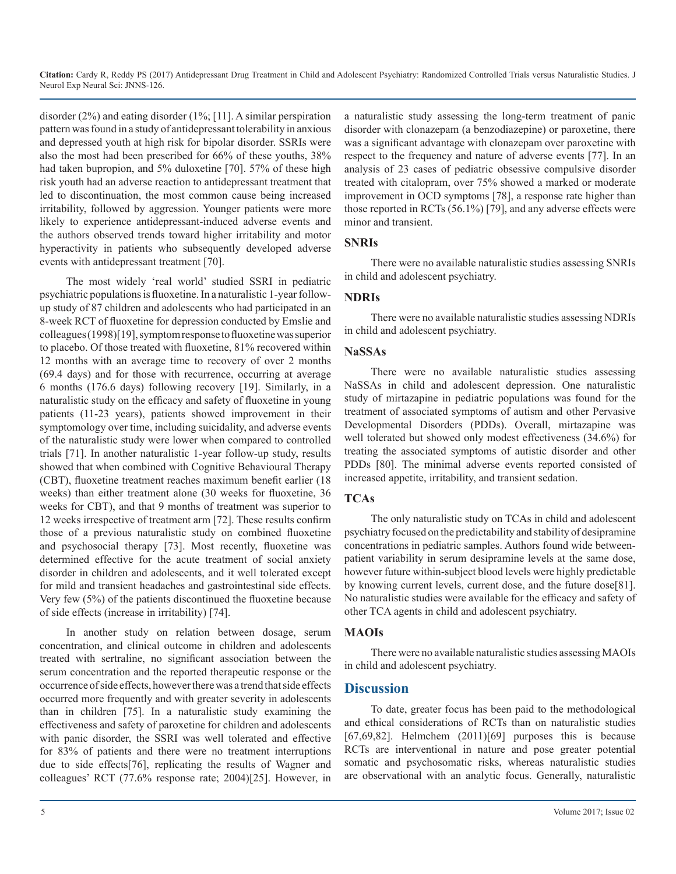disorder (2%) and eating disorder (1%; [11]. A similar perspiration pattern was found in a study of antidepressant tolerability in anxious and depressed youth at high risk for bipolar disorder. SSRIs were also the most had been prescribed for 66% of these youths, 38% had taken bupropion, and 5% duloxetine [70]. 57% of these high risk youth had an adverse reaction to antidepressant treatment that led to discontinuation, the most common cause being increased irritability, followed by aggression. Younger patients were more likely to experience antidepressant-induced adverse events and the authors observed trends toward higher irritability and motor hyperactivity in patients who subsequently developed adverse events with antidepressant treatment [70].

The most widely 'real world' studied SSRI in pediatric psychiatric populations is fluoxetine. In a naturalistic 1-year followup study of 87 children and adolescents who had participated in an 8-week RCT of fluoxetine for depression conducted by Emslie and colleagues (1998)[19], symptom response to fluoxetine was superior to placebo. Of those treated with fluoxetine, 81% recovered within 12 months with an average time to recovery of over 2 months (69.4 days) and for those with recurrence, occurring at average 6 months (176.6 days) following recovery [19]. Similarly, in a naturalistic study on the efficacy and safety of fluoxetine in young patients (11-23 years), patients showed improvement in their symptomology over time, including suicidality, and adverse events of the naturalistic study were lower when compared to controlled trials [71]. In another naturalistic 1-year follow-up study, results showed that when combined with Cognitive Behavioural Therapy (CBT), fluoxetine treatment reaches maximum benefit earlier (18 weeks) than either treatment alone (30 weeks for fluoxetine, 36 weeks for CBT), and that 9 months of treatment was superior to 12 weeks irrespective of treatment arm [72]. These results confirm those of a previous naturalistic study on combined fluoxetine and psychosocial therapy [73]. Most recently, fluoxetine was determined effective for the acute treatment of social anxiety disorder in children and adolescents, and it well tolerated except for mild and transient headaches and gastrointestinal side effects. Very few (5%) of the patients discontinued the fluoxetine because of side effects (increase in irritability) [74].

In another study on relation between dosage, serum concentration, and clinical outcome in children and adolescents treated with sertraline, no significant association between the serum concentration and the reported therapeutic response or the occurrence of side effects, however there was a trend that side effects occurred more frequently and with greater severity in adolescents than in children [75]. In a naturalistic study examining the effectiveness and safety of paroxetine for children and adolescents with panic disorder, the SSRI was well tolerated and effective for 83% of patients and there were no treatment interruptions due to side effects[76], replicating the results of Wagner and colleagues' RCT (77.6% response rate; 2004)[25]. However, in

a naturalistic study assessing the long-term treatment of panic disorder with clonazepam (a benzodiazepine) or paroxetine, there was a significant advantage with clonazepam over paroxetine with respect to the frequency and nature of adverse events [77]. In an analysis of 23 cases of pediatric obsessive compulsive disorder treated with citalopram, over 75% showed a marked or moderate improvement in OCD symptoms [78], a response rate higher than those reported in RCTs (56.1%) [79], and any adverse effects were minor and transient.

#### **SNRIs**

There were no available naturalistic studies assessing SNRIs in child and adolescent psychiatry.

#### **NDRIs**

There were no available naturalistic studies assessing NDRIs in child and adolescent psychiatry.

#### **NaSSAs**

There were no available naturalistic studies assessing NaSSAs in child and adolescent depression. One naturalistic study of mirtazapine in pediatric populations was found for the treatment of associated symptoms of autism and other Pervasive Developmental Disorders (PDDs). Overall, mirtazapine was well tolerated but showed only modest effectiveness (34.6%) for treating the associated symptoms of autistic disorder and other PDDs [80]. The minimal adverse events reported consisted of increased appetite, irritability, and transient sedation.

#### **TCAs**

The only naturalistic study on TCAs in child and adolescent psychiatry focused on the predictability and stability of desipramine concentrations in pediatric samples. Authors found wide betweenpatient variability in serum desipramine levels at the same dose, however future within-subject blood levels were highly predictable by knowing current levels, current dose, and the future dose[81]. No naturalistic studies were available for the efficacy and safety of other TCA agents in child and adolescent psychiatry.

#### **MAOIs**

There were no available naturalistic studies assessing MAOIs in child and adolescent psychiatry.

#### **Discussion**

To date, greater focus has been paid to the methodological and ethical considerations of RCTs than on naturalistic studies [67,69,82]. Helmchem  $(2011)[69]$  purposes this is because RCTs are interventional in nature and pose greater potential somatic and psychosomatic risks, whereas naturalistic studies are observational with an analytic focus. Generally, naturalistic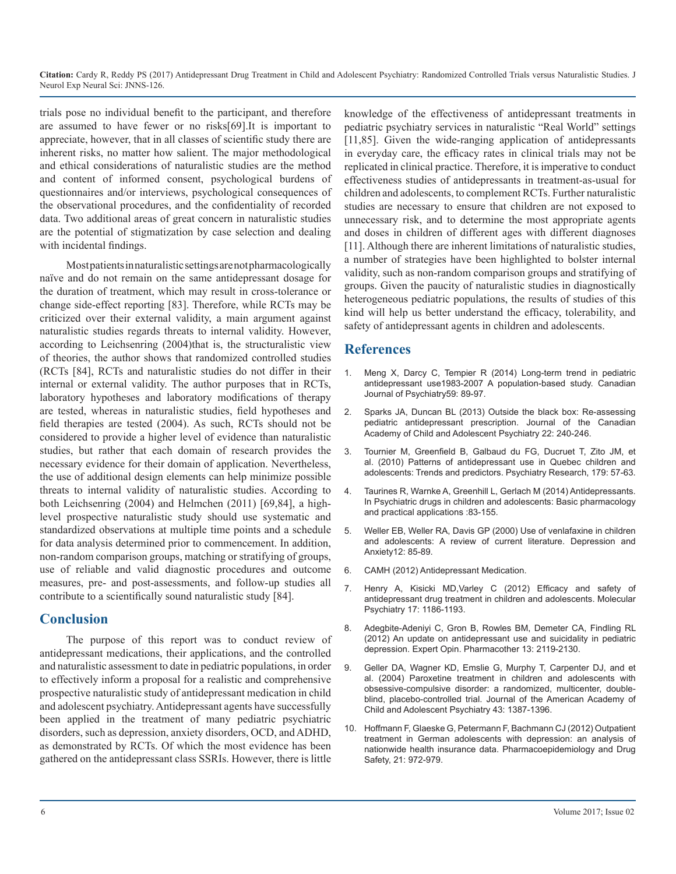trials pose no individual benefit to the participant, and therefore are assumed to have fewer or no risks[69].It is important to appreciate, however, that in all classes of scientific study there are inherent risks, no matter how salient. The major methodological and ethical considerations of naturalistic studies are the method and content of informed consent, psychological burdens of questionnaires and/or interviews, psychological consequences of the observational procedures, and the confidentiality of recorded data. Two additional areas of great concern in naturalistic studies are the potential of stigmatization by case selection and dealing with incidental findings.

Most patients in naturalistic settings are not pharmacologically naïve and do not remain on the same antidepressant dosage for the duration of treatment, which may result in cross-tolerance or change side-effect reporting [83]. Therefore, while RCTs may be criticized over their external validity, a main argument against naturalistic studies regards threats to internal validity. However, according to Leichsenring (2004)that is, the structuralistic view of theories, the author shows that randomized controlled studies (RCTs [84], RCTs and naturalistic studies do not differ in their internal or external validity. The author purposes that in RCTs, laboratory hypotheses and laboratory modifications of therapy are tested, whereas in naturalistic studies, field hypotheses and field therapies are tested (2004). As such, RCTs should not be considered to provide a higher level of evidence than naturalistic studies, but rather that each domain of research provides the necessary evidence for their domain of application. Nevertheless, the use of additional design elements can help minimize possible threats to internal validity of naturalistic studies. According to both Leichsenring (2004) and Helmchen (2011) [69,84], a highlevel prospective naturalistic study should use systematic and standardized observations at multiple time points and a schedule for data analysis determined prior to commencement. In addition, non-random comparison groups, matching or stratifying of groups, use of reliable and valid diagnostic procedures and outcome measures, pre- and post-assessments, and follow-up studies all contribute to a scientifically sound naturalistic study [84].

#### **Conclusion**

The purpose of this report was to conduct review of antidepressant medications, their applications, and the controlled and naturalistic assessment to date in pediatric populations, in order to effectively inform a proposal for a realistic and comprehensive prospective naturalistic study of antidepressant medication in child and adolescent psychiatry. Antidepressant agents have successfully been applied in the treatment of many pediatric psychiatric disorders, such as depression, anxiety disorders, OCD, and ADHD, as demonstrated by RCTs. Of which the most evidence has been gathered on the antidepressant class SSRIs. However, there is little

knowledge of the effectiveness of antidepressant treatments in pediatric psychiatry services in naturalistic "Real World" settings [11,85]. Given the wide-ranging application of antidepressants in everyday care, the efficacy rates in clinical trials may not be replicated in clinical practice. Therefore, it is imperative to conduct effectiveness studies of antidepressants in treatment-as-usual for children and adolescents, to complement RCTs. Further naturalistic studies are necessary to ensure that children are not exposed to unnecessary risk, and to determine the most appropriate agents and doses in children of different ages with different diagnoses [11]. Although there are inherent limitations of naturalistic studies, a number of strategies have been highlighted to bolster internal validity, such as non-random comparison groups and stratifying of groups. Given the paucity of naturalistic studies in diagnostically heterogeneous pediatric populations, the results of studies of this kind will help us better understand the efficacy, tolerability, and safety of antidepressant agents in children and adolescents.

#### **References**

- Meng X, Darcy C, Tempier R (2014) Long-term trend in pediatric antidepressant use1983-2007 A population-based study. Canadian [Journal of Psychiatry59: 89-97.](https://www.ncbi.nlm.nih.gov/pubmed/24881127)
- 2. [Sparks JA, Duncan BL \(2013\) Outside the black box: Re-assessing](https://www.ncbi.nlm.nih.gov/pubmed/23970915)  pediatric antidepressant prescription. Journal of the Canadian [Academy of Child and Adolescent Psychiatry 22: 240-246.](https://www.ncbi.nlm.nih.gov/pubmed/23970915)
- 3. [Tournier M, Greenfield B, Galbaud du FG, Ducruet T, Zito JM, et](http://www.psy-journal.com/article/S0165-1781(10)00313-6/fulltext) al. (2010) Patterns of antidepressant use in Quebec children and [adolescents: Trends and predictors. Psychiatry Research, 179: 57-63.](http://www.psy-journal.com/article/S0165-1781(10)00313-6/fulltext)
- 4. Taurines R, Warnke A, Greenhill L, Gerlach M (2014) Antidepressants. In Psychiatric drugs in children and adolescents: Basic pharmacology and practical applications :83-155.
- 5. [Weller EB, Weller RA, Davis GP \(2000\) Use of venlafaxine in children](https://www.ncbi.nlm.nih.gov/pubmed/11098420)  and adolescents: A review of current literature. Depression and [Anxiety12: 85-89](https://www.ncbi.nlm.nih.gov/pubmed/11098420).
- 6. [CAMH \(2012\) Antidepressant Medication.](http://www.camh.ca/en/hospital/health_information/a_z_mental_health_and_addiction_information/antidepressant_medication/Pages/antidepressant_medication.aspx)
- 7. [Henry A, Kisicki MD,Varley C \(2012\) Efficacy and safety of](https://www.nature.com/mp/journal/v17/n12/full/mp2011150a.html) antidepressant drug treatment in children and adolescents. Molecular [Psychiatry 17: 1186-1193.](https://www.nature.com/mp/journal/v17/n12/full/mp2011150a.html)
- 8. [Adegbite-Adeniyi C, Gron B, Rowles BM, Demeter CA, Findling RL](http://www.tandfonline.com/doi/full/10.1517/14656566.2012.726613)  (2012) An update on antidepressant use and suicidality in pediatric [depression. Expert Opin. Pharmacother 13: 2119-2130.](http://www.tandfonline.com/doi/full/10.1517/14656566.2012.726613)
- 9. [Geller DA, Wagner KD, Emslie G, Murphy T, Carpenter DJ, and et](https://www.ncbi.nlm.nih.gov/pubmed/15502598)  al. (2004) Paroxetine treatment in children and adolescents with [obsessive-compulsive disorder: a randomized, multicenter, double](https://www.ncbi.nlm.nih.gov/pubmed/15502598)[blind, placebo-controlled trial. Journal of the American Academy of](https://www.ncbi.nlm.nih.gov/pubmed/15502598) [Child and Adolescent Psychiatry 43: 1387-1396.](https://www.ncbi.nlm.nih.gov/pubmed/15502598)
- 10. [Hoffmann F, Glaeske G, Petermann F, Bachmann CJ \(2012\) Outpatient](https://www.ncbi.nlm.nih.gov/pubmed/22639197)  treatment in German adolescents with depression: an analysis of [nationwide health insurance data. Pharmacoepidemiology and Drug](https://www.ncbi.nlm.nih.gov/pubmed/22639197)  [Safety, 21: 972-979.](https://www.ncbi.nlm.nih.gov/pubmed/22639197)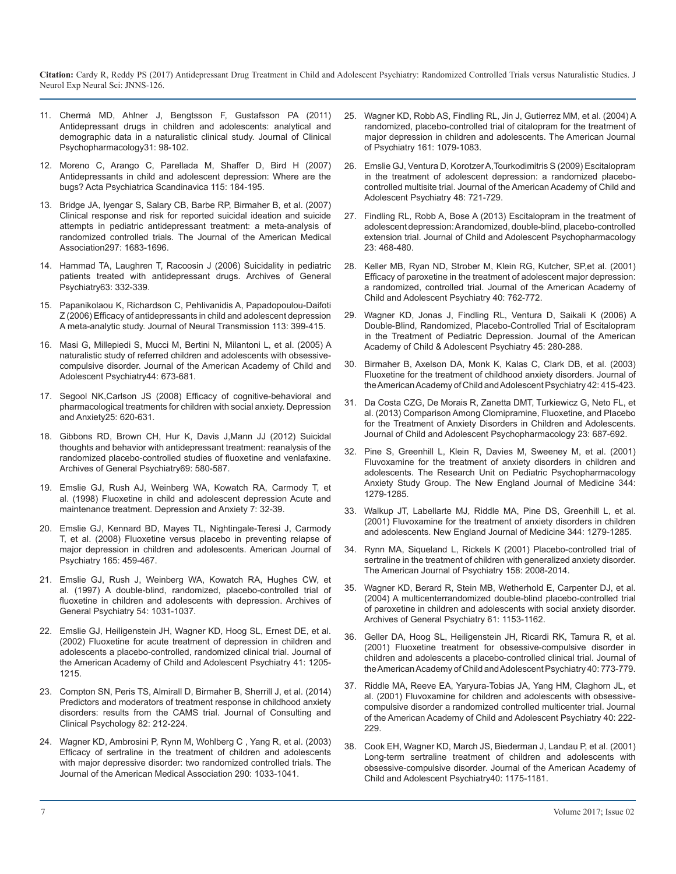- 11. [Chermá MD, Ahlner J, Bengtsson F, Gustafsson PA \(2011\)](https://www.ncbi.nlm.nih.gov/pubmed/21192151)  [Antidepressant drugs in children and adolescents: analytical and](https://www.ncbi.nlm.nih.gov/pubmed/21192151) [demographic data in a naturalistic clinical study. Journal of Clinical](https://www.ncbi.nlm.nih.gov/pubmed/21192151)  [Psychopharmacology31: 98-102.](https://www.ncbi.nlm.nih.gov/pubmed/21192151)
- 12. [Moreno C, Arango C, Parellada M, Shaffer D, Bird H \(2007\)](https://www.ncbi.nlm.nih.gov/pubmed/17302618)  [Antidepressants in child and adolescent depression: Where are the](https://www.ncbi.nlm.nih.gov/pubmed/17302618) [bugs? Acta Psychiatrica Scandinavica 115: 184-195.](https://www.ncbi.nlm.nih.gov/pubmed/17302618)
- 13. [Bridge JA, Iyengar S, Salary CB, Barbe RP, Birmaher B, et al. \(2007\)](https://www.ncbi.nlm.nih.gov/pubmed/17440145)  [Clinical response and risk for reported suicidal ideation and suicide](https://www.ncbi.nlm.nih.gov/pubmed/17440145)  [attempts in pediatric antidepressant treatment: a meta-analysis o](https://www.ncbi.nlm.nih.gov/pubmed/17440145)[f](https://www.ncbi.nlm.nih.gov/pmc/articles/PMC3779002/)  [randomized controlled trials. The Journal of the American Medical](https://www.ncbi.nlm.nih.gov/pubmed/17440145)  [Association297: 1683-1696.](https://www.ncbi.nlm.nih.gov/pubmed/17440145)
- 14. [Hammad TA, Laughren T, Racoosin J \(2006\) Suicidality in pediatric](https://www.ncbi.nlm.nih.gov/pubmed/16520440)  [patients treated with antidepressant drugs. Archives of General](https://www.ncbi.nlm.nih.gov/pubmed/16520440) [Psychiatry63: 332-339.](https://www.ncbi.nlm.nih.gov/pubmed/16520440)
- 15. [Papanikolaou K, Richardson C, Pehlivanidis A, Papadopoulou-Daifoti](https://link.springer.com/article/10.1007/s00702-005-0340-2)  [Z \(2006\) Efficacy of antidepressants in child and adolescent depression](https://link.springer.com/article/10.1007/s00702-005-0340-2)  [A meta-analytic study. Journal of Neural Transmission 113: 399-415.](https://link.springer.com/article/10.1007/s00702-005-0340-2)
- 16. [Masi G, Millepiedi S, Mucci M, Bertini N, Milantoni L, et al. \(2005\) A](https://www.ncbi.nlm.nih.gov/pubmed/15968236)  [naturalistic study of referred children and adolescents with obsessive](https://www.ncbi.nlm.nih.gov/pubmed/15968236)[compulsive disorder. Journal of the American Academy of Child and](https://www.ncbi.nlm.nih.gov/pubmed/15968236)  [Adolescent Psychiatry44: 673-681.](https://www.ncbi.nlm.nih.gov/pubmed/15968236)
- 17. [Segool NK,Carlson JS \(2008\) Efficacy of cognitive-behavioral and](https://www.ncbi.nlm.nih.gov/pubmed/17999406)  [pharmacological treatments for children with social anxiety. Depression](https://www.ncbi.nlm.nih.gov/pubmed/17999406)  [and Anxiety25: 620-631.](https://www.ncbi.nlm.nih.gov/pubmed/17999406)
- 18. [Gibbons RD, Brown CH, Hur K, Davis J,Mann JJ \(2012\) Suicidal](https://www.ncbi.nlm.nih.gov/pubmed/22309973)  [thoughts and behavior with antidepressant treatment: reanalysis of the](https://www.ncbi.nlm.nih.gov/pubmed/22309973)  [randomized placebo-controlled studies of fluoxetine and venlafaxine.](https://www.ncbi.nlm.nih.gov/pubmed/22309973)  [Archives of General Psychiatry69: 580-587.](https://www.ncbi.nlm.nih.gov/pubmed/22309973)
- 19. [Emslie GJ, Rush AJ, Weinberg WA, Kowatch RA, Carmody T, et](https://www.ncbi.nlm.nih.gov/pubmed/9592630)  [al. \(1998\) Fluoxetine in child and adolescent depression Acute and](https://www.ncbi.nlm.nih.gov/pubmed/9592630)  [maintenance treatment. Depression and Anxiety 7: 32-39.](https://www.ncbi.nlm.nih.gov/pubmed/9592630)
- 20. [Emslie GJ, Kennard BD, Mayes TL, Nightingale-Teresi J, Carmody](https://www.ncbi.nlm.nih.gov/pubmed/18281410)  [T, et al. \(2008\) Fluoxetine versus placebo in preventing relapse of](https://www.ncbi.nlm.nih.gov/pubmed/18281410)  [major depression in children and adolescents. American Journal of](https://www.ncbi.nlm.nih.gov/pubmed/18281410)  [Psychiatry 165: 459-467.](https://www.ncbi.nlm.nih.gov/pubmed/18281410)
- 21. [Emslie GJ, Rush J, Weinberg WA, Kowatch RA, Hughes CW, et](https://www.ncbi.nlm.nih.gov/pubmed/9366660)  [al. \(1997\) A double-blind, randomized, placebo-controlled trial of](https://www.ncbi.nlm.nih.gov/pubmed/9366660) [fluoxetine in children and adolescents with depression. Archives of](https://www.ncbi.nlm.nih.gov/pubmed/9366660)  [General Psychiatry 54: 1031-1037.](https://www.ncbi.nlm.nih.gov/pubmed/9366660)
- 22. [Emslie GJ, Heiligenstein JH, Wagner KD, Hoog SL, Ernest DE, et al.](https://www.ncbi.nlm.nih.gov/pubmed/12364842) [\(2002\) Fluoxetine for acute treatment of depression in children and](https://www.ncbi.nlm.nih.gov/pubmed/12364842)  [adolescents a placebo-controlled, randomized clinical trial. Journal of](https://www.ncbi.nlm.nih.gov/pubmed/12364842)  [the American Academy of Child and Adolescent Psychiatry 41: 1205-](https://www.ncbi.nlm.nih.gov/pubmed/12364842) [1215.](https://www.ncbi.nlm.nih.gov/pubmed/12364842)
- 23. [Compton SN, Peris TS, Almirall D, Birmaher B, Sherrill J, et al. \(2014\)](https://www.ncbi.nlm.nih.gov/pubmed/24417601)  [Predictors and moderators of treatment response in childhood anxiety](https://www.ncbi.nlm.nih.gov/pubmed/24417601)  [disorders: results from the CAMS trial. Journal of Consulting and](https://www.ncbi.nlm.nih.gov/pubmed/24417601)  [Clinical Psychology 82: 212-224.](https://www.ncbi.nlm.nih.gov/pubmed/24417601)
- 24. [Wagner KD, Ambrosini P, Rynn M, Wohlberg C , Yang R, et al. \(2003\)](https://www.ncbi.nlm.nih.gov/pubmed/12941675)  [Efficacy of sertraline in the treatment of children and adolescents](https://www.ncbi.nlm.nih.gov/pubmed/12941675)  [with major depressive disorder: two randomized controlled trials. The](https://www.ncbi.nlm.nih.gov/pubmed/12941675) [Journal of the American Medical Association 290: 1033-1041.](https://www.ncbi.nlm.nih.gov/pubmed/12941675)
- 25. [Wagner KD, Robb AS, Findling RL, Jin J, Gutierrez MM, et al. \(2004\) A](https://www.ncbi.nlm.nih.gov/pubmed/15169696)  randomized, placebo-controlled trial of citalopram for the treatment of [major depression in children and adolescents. The American Journal](https://www.ncbi.nlm.nih.gov/pubmed/15169696)  [of Psychiatry 161: 1079-1083.](https://www.ncbi.nlm.nih.gov/pubmed/15169696)
- 26. [Emslie GJ, Ventura D, Korotzer A,Tourkodimitris S \(2009\) Escitalopram](https://www.ncbi.nlm.nih.gov/pubmed/19465881)  in the treatment of adolescent depression: a randomized placebo[controlled multisite trial. Journal of the American Academy of Child and](https://www.ncbi.nlm.nih.gov/pubmed/19465881)  [Adolescent Psychiatry 48: 721-729.](https://www.ncbi.nlm.nih.gov/pubmed/19465881)
- 27. [Findling RL, Robb A, Bose A \(2013\) Escitalopram in the treatment of](https://www.ncbi.nlm.nih.gov/pmc/articles/PMC3779002/)  adolescent depression: A randomized, double-blind, placebo-controlled [extension trial. Journal of Child and Adolescent Psychopharmacology](https://www.ncbi.nlm.nih.gov/pmc/articles/PMC3779002/)  [23: 468-480.](https://www.ncbi.nlm.nih.gov/pmc/articles/PMC3779002/)
- 28. [Keller MB, Ryan ND, Strober M, Klein RG, Kutcher, SP,et al. \(2001\)](https://www.ncbi.nlm.nih.gov/pubmed/11437014) Efficacy of paroxetine in the treatment of adolescent major depression: [a randomized, controlled trial. Journal of the American Academy of](https://www.ncbi.nlm.nih.gov/pubmed/11437014)  [Child and Adolescent Psychiatry 40: 762-772.](https://www.ncbi.nlm.nih.gov/pubmed/11437014)
- 29. [Wagner KD, Jonas J, Findling RL, Ventura D, Saikali K \(2006\) A](https://www.ncbi.nlm.nih.gov/pubmed/16540812) [Double-Blind, Randomized, Placebo-Controlled Trial of Escitalopram](https://www.ncbi.nlm.nih.gov/pubmed/16540812)  [in the Treatment of Pediatric Depression. Journal of the American](https://www.ncbi.nlm.nih.gov/pubmed/16540812)  [Academy of Child & Adolescent Psychiatry 45: 280-288.](https://www.ncbi.nlm.nih.gov/pubmed/16540812)
- 30. [Birmaher B, Axelson DA, Monk K, Kalas C, Clark DB, et al. \(2003\)](https://www.ncbi.nlm.nih.gov/pubmed/12649628)  [Fluoxetine for the treatment of childhood anxiety disorders. Journal of](https://www.ncbi.nlm.nih.gov/pubmed/12649628)  [the American Academy of Child and Adolescent Psychiatry 42: 415-423.](https://www.ncbi.nlm.nih.gov/pubmed/12649628)
- 31. [Da Costa CZG, De Morais R, Zanetta DMT, Turkiewicz G, Neto FL, et](https://www.ncbi.nlm.nih.gov/pubmed/24350814)  [al. \(2013\) Comparison Among Clomipramine, Fluoxetine, and Placebo](https://www.ncbi.nlm.nih.gov/pubmed/24350814)  [for the Treatment of Anxiety Disorders in Children and Adolescents.](https://www.ncbi.nlm.nih.gov/pubmed/24350814) [Journal of Child and Adolescent Psychopharmacology 23: 687-692.](https://www.ncbi.nlm.nih.gov/pubmed/24350814)
- 32. Pine S, Greenhill L, Klein R, Davies M, Sweeney M, et al. (2001) Fluvoxamine for the treatment of anxiety disorders in children and adolescents. The Research Unit on Pediatric Psychopharmacology Anxiety Study Group. The New England Journal of Medicine 344: 1279-1285.
- 33. Walkup JT, Labellarte MJ, Riddle MA, Pine DS, Greenhill L, et al. (2001) Fluvoxamine for the treatment of anxiety disorders in children and adolescents. New England Journal of Medicine 344: 1279-1285.
- 34. [Rynn MA, Siqueland L, Rickels K \(2001\) Placebo-controlled trial of](https://www.ncbi.nlm.nih.gov/pubmed/11729017)  [sertraline in the treatment of children with generalized anxiety disorder.](https://www.ncbi.nlm.nih.gov/pubmed/11729017) [The American Journal of Psychiatry 158: 2008-2014.](https://www.ncbi.nlm.nih.gov/pubmed/11729017)
- 35. [Wagner KD, Berard R, Stein MB, Wetherhold E, Carpenter DJ, et al.](https://www.ncbi.nlm.nih.gov/pubmed/15520363) [\(2004\) A multicenterrandomized double-blind placebo-controlled trial](https://www.ncbi.nlm.nih.gov/pubmed/15520363)  [of paroxetine in children and adolescents with social anxiety disorder.](https://www.ncbi.nlm.nih.gov/pubmed/15520363) [Archives of General Psychiatry 61: 1153-1162.](https://www.ncbi.nlm.nih.gov/pubmed/15520363)
- 36. [Geller DA, Hoog SL, Heiligenstein JH, Ricardi RK, Tamura R, et al.](https://www.ncbi.nlm.nih.gov/pubmed/11437015) [\(2001\) Fluoxetine treatment for obsessive-compulsive disorder in](https://www.ncbi.nlm.nih.gov/pubmed/11437015) [children and adolescents a placebo-controlled clinical trial. Journal of](https://www.ncbi.nlm.nih.gov/pubmed/11437015) [the American Academy of Child and Adolescent Psychiatry 40: 773-779.](https://www.ncbi.nlm.nih.gov/pubmed/11437015)
- 37. [Riddle MA, Reeve EA, Yaryura-Tobias JA, Yang HM, Claghorn JL, et](https://www.ncbi.nlm.nih.gov/pubmed/11211371)  [al. \(2001\) Fluvoxamine for children and adolescents with obsessive](https://www.ncbi.nlm.nih.gov/pubmed/11211371)[compulsive disorder a randomized controlled multicenter trial. Journal](https://www.ncbi.nlm.nih.gov/pubmed/11211371) [of the American Academy of Child and Adolescent Psychiatry 40: 222-](https://www.ncbi.nlm.nih.gov/pubmed/11211371) [229.](https://www.ncbi.nlm.nih.gov/pubmed/11211371)
- 38. [Cook EH, Wagner KD, March JS, Biederman J, Landau P, et al. \(2001\)](https://www.ncbi.nlm.nih.gov/pubmed/11589530)  [Long-term sertraline treatment of children and adolescents with](https://www.ncbi.nlm.nih.gov/pubmed/11589530)  [obsessive-compulsive disorder. Journal of the American Academy of](https://www.ncbi.nlm.nih.gov/pubmed/11589530)  [Child and Adolescent Psychiatry40: 1175-1181.](https://www.ncbi.nlm.nih.gov/pubmed/11589530)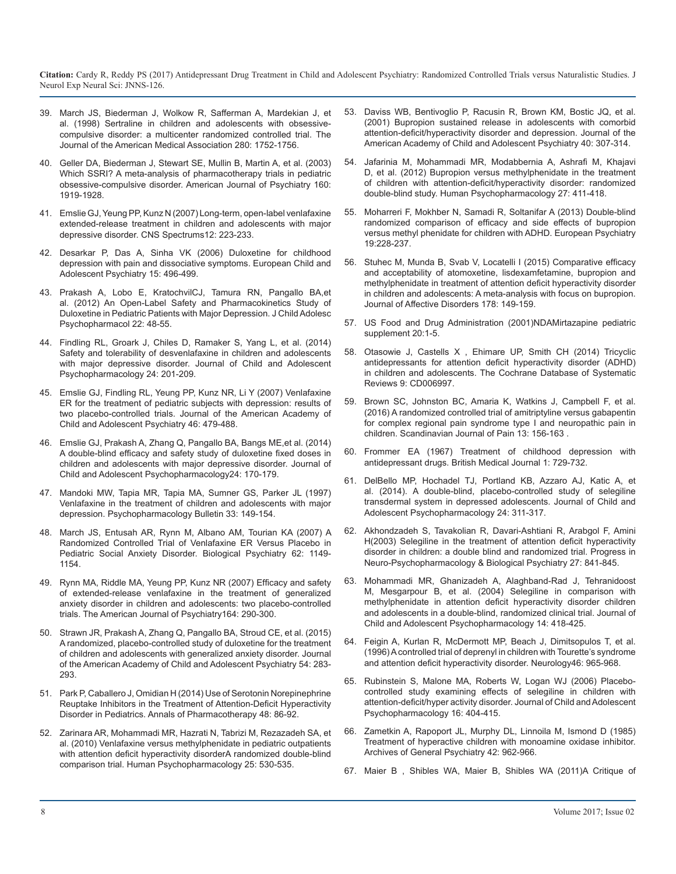- 39. [March JS, Biederman J, Wolkow R, Safferman A, Mardekian J, et](https://www.ncbi.nlm.nih.gov/pubmed/9842950)  al. (1998) Sertraline in children and adolescents with obsessive[compulsive disorder: a multicenter randomized controlled trial. The](https://www.ncbi.nlm.nih.gov/pubmed/9842950) [Journal of the American Medical Association 280: 1752-1756.](https://www.ncbi.nlm.nih.gov/pubmed/9842950)
- 40. [Geller DA, Biederman J, Stewart SE, Mullin B, Martin A, et al. \(2003\)](https://www.ncbi.nlm.nih.gov/pubmed/14594734)  Which SSRI? A meta-analysis of pharmacotherapy trials in pediatric [obsessive-compulsive disorder. American Journal of Psychiatry 160:](https://www.ncbi.nlm.nih.gov/pubmed/14594734)  [1919-1928.](https://www.ncbi.nlm.nih.gov/pubmed/14594734)
- 41. [Emslie GJ, Yeung PP, Kunz N \(2007\) Long-term, open-label venlafaxine](https://www.ncbi.nlm.nih.gov/pubmed/17329983)  extended-release treatment in children and adolescents with major [depressive disorder. CNS Spectrums12: 223-233.](https://www.ncbi.nlm.nih.gov/pubmed/17329983)
- 42. [Desarkar P, Das A, Sinha VK \(2006\) Duloxetine for childhood](https://link.springer.com/article/10.1007/s00787-006-0553-4)  depression with pain and dissociative symptoms. European Child and [Adolescent Psychiatry 15: 496-499.](https://link.springer.com/article/10.1007/s00787-006-0553-4)
- 43. [Prakash A, Lobo E, KratochvilCJ, Tamura RN, Pangallo BA,et](https://www.ncbi.nlm.nih.gov/pubmed/22251023)  al. (2012) An Open-Label Safety and Pharmacokinetics Study of [Duloxetine in Pediatric Patients with Major Depression. J Child Adolesc](https://www.ncbi.nlm.nih.gov/pubmed/22251023)  [Psychopharmacol 22: 48-55.](https://www.ncbi.nlm.nih.gov/pubmed/22251023)
- 44. [Findling RL, Groark J, Chiles D, Ramaker S, Yang L, et al. \(2014\)](https://www.ncbi.nlm.nih.gov/pubmed/24611442)  Safety and tolerability of desvenlafaxine in children and adolescents [with major depressive disorder. Journal of Child and Adolescent](https://www.ncbi.nlm.nih.gov/pubmed/24611442)  [Psychopharmacology 24: 201-209.](https://www.ncbi.nlm.nih.gov/pubmed/24611442)
- 45. [Emslie GJ, Findling RL, Yeung PP, Kunz NR, Li Y \(2007\) Venlafaxine](https://www.ncbi.nlm.nih.gov/pubmed/17420682)  ER for the treatment of pediatric subjects with depression: results of [two placebo-controlled trials. Journal of the American Academy of](https://www.ncbi.nlm.nih.gov/pubmed/17420682) [Child and Adolescent Psychiatry 46: 479-488.](https://www.ncbi.nlm.nih.gov/pubmed/17420682)
- 46. [Emslie GJ, Prakash A, Zhang Q, Pangallo BA, Bangs ME,et al. \(2014\)](https://www.ncbi.nlm.nih.gov/pubmed/24815533)  A double-blind efficacy and safety study of duloxetine fixed doses in [children and adolescents with major depressive disorder. Journal of](https://www.ncbi.nlm.nih.gov/pubmed/24815533)  [Child and Adolescent Psychopharmacology24: 170-179.](https://www.ncbi.nlm.nih.gov/pubmed/24815533)
- 47. [Mandoki MW, Tapia MR, Tapia MA, Sumner GS, Parker JL \(1997\)](https://www.ncbi.nlm.nih.gov/pubmed/9133767)  Venlafaxine in the treatment of children and adolescents with major [depression. Psychopharmacology Bulletin 33: 149-154.](https://www.ncbi.nlm.nih.gov/pubmed/9133767)
- 48. [March JS, Entusah AR, Rynn M, Albano AM, Tourian KA \(2007\) A](https://www.ncbi.nlm.nih.gov/pubmed/17553467)  Randomized Controlled Trial of Venlafaxine ER Versus Placebo in [Pediatric Social Anxiety Disorder. Biological Psychiatry 62: 1149-](https://www.ncbi.nlm.nih.gov/pubmed/17553467) [1154.](https://www.ncbi.nlm.nih.gov/pubmed/17553467)
- 49. [Rynn MA, Riddle MA, Yeung PP, Kunz NR \(2007\) Efficacy and safety](http://ajp.psychiatryonline.org/doi/pdf/10.1176/ajp.2007.164.2.290) of extended-release venlafaxine in the treatment of generalized [anxiety disorder in children and adolescents: two placebo-controlled](http://ajp.psychiatryonline.org/doi/pdf/10.1176/ajp.2007.164.2.290)  [trials. The American Journal of Psychiatry164: 290-300.](http://ajp.psychiatryonline.org/doi/pdf/10.1176/ajp.2007.164.2.290)
- 50. [Strawn JR, Prakash A, Zhang Q, Pangallo BA, Stroud CE, et al. \(2015\)](https://www.ncbi.nlm.nih.gov/pubmed/25791145)  A randomized, placebo-controlled study of duloxetine for the treatment [of children and adolescents with generalized anxiety disorder. Journal](https://www.ncbi.nlm.nih.gov/pubmed/25791145)  [of the American Academy of Child and Adolescent Psychiatry 54: 283-](https://www.ncbi.nlm.nih.gov/pubmed/25791145) [293.](https://www.ncbi.nlm.nih.gov/pubmed/25791145)
- 51. [Park P, Caballero J, Omidian H \(2014\) Use of Serotonin Norepinephrine](https://www.ncbi.nlm.nih.gov/pubmed/24259607)  Reuptake Inhibitors in the Treatment of Attention-Deficit Hyperactivity [Disorder in Pediatrics. Annals of Pharmacotherapy 48: 86-92.](https://www.ncbi.nlm.nih.gov/pubmed/24259607)
- 52. [Zarinara AR, Mohammadi MR, Hazrati N, Tabrizi M, Rezazadeh SA, et](file:///D:/G%20Indesign/08%20Aug/JNNS/JNNS-126/Zarinara%20AR,%20Mohammadi%20MR,%20Hazrati%20N,%20Tabrizi%20M,%20Rezazadeh%20SA,%20et%20al.%20(2010)%20Venlafaxine%20versus%20methylphenidate%20in%20pediatric%20outpatients%20with%20attention%20deficit%20hyperactivity%20disorder%20%20A%20randomized%20double-blind%20comparison%20trial.%20Human%20Psychopharmacology%2025:%20530-535.)  al. (2010) Venlafaxine versus methylphenidate in pediatric outpatients [with attention deficit hyperactivity disorderA randomized double-blind](file:///D:/G%20Indesign/08%20Aug/JNNS/JNNS-126/Zarinara%20AR,%20Mohammadi%20MR,%20Hazrati%20N,%20Tabrizi%20M,%20Rezazadeh%20SA,%20et%20al.%20(2010)%20Venlafaxine%20versus%20methylphenidate%20in%20pediatric%20outpatients%20with%20attention%20deficit%20hyperactivity%20disorder%20%20A%20randomized%20double-blind%20comparison%20trial.%20Human%20Psychopharmacology%2025:%20530-535.)  [comparison trial. Human Psychopharmacology 25: 530-535.](file:///D:/G%20Indesign/08%20Aug/JNNS/JNNS-126/Zarinara%20AR,%20Mohammadi%20MR,%20Hazrati%20N,%20Tabrizi%20M,%20Rezazadeh%20SA,%20et%20al.%20(2010)%20Venlafaxine%20versus%20methylphenidate%20in%20pediatric%20outpatients%20with%20attention%20deficit%20hyperactivity%20disorder%20%20A%20randomized%20double-blind%20comparison%20trial.%20Human%20Psychopharmacology%2025:%20530-535.)
- 53. [Daviss WB, Bentivoglio P, Racusin R, Brown KM, Bostic JQ, et al.](https://www.ncbi.nlm.nih.gov/pubmed/11288772)  [\(2001\) Bupropion sustained release in adolescents with comorbid](https://www.ncbi.nlm.nih.gov/pubmed/9842950)  [attention-deficit/hyperactivity disorder and depression. Journal of the](https://www.ncbi.nlm.nih.gov/pubmed/11288772)  [American Academy of Child and Adolescent Psychiatry 40: 307-314.](https://www.ncbi.nlm.nih.gov/pubmed/11288772)
- 54. [Jafarinia M, Mohammadi MR, Modabbernia A, Ashrafi M, Khajavi](https://www.ncbi.nlm.nih.gov/pubmed/22806822)  [D, et al. \(2012\) Bupropion versus methylphenidate in the treatment](https://www.ncbi.nlm.nih.gov/pubmed/14594734)  [of children with attention-deficit/hyperactivity disorder: randomized](https://www.ncbi.nlm.nih.gov/pubmed/22806822)  [double-blind study. Human Psychopharmacology 27: 411-418.](https://www.ncbi.nlm.nih.gov/pubmed/22806822)
- 55. [Moharreri F, Mokhber N, Samadi R, Soltanifar A \(2013\) Double-blind](http://en.journals.sid.ir/ViewPaper.aspx?ID=267528)  [randomized comparison of efficacy and side effects of bupropion](https://www.ncbi.nlm.nih.gov/pubmed/17329983)  [versus methyl phenidate for children with ADHD. European Psychiatry](http://en.journals.sid.ir/ViewPaper.aspx?ID=267528) [19:228-237.](http://en.journals.sid.ir/ViewPaper.aspx?ID=267528)
- 56. [Stuhec M, Munda B, Svab V, Locatelli I \(2015\) Comparative efficacy](https://link.springer.com/article/10.1007/s00787-006-0553-4)  and acceptability of atomoxetine, lisdexamfetamine, bupropion and [methylphenidate in treatment of attention deficit hyperactivity disorder](https://www.ncbi.nlm.nih.gov/pubmed/25813457)  [in children and adolescents: A meta-analysis with focus on bupropion.](https://www.ncbi.nlm.nih.gov/pubmed/25813457)  [Journal of Affective Disorders 178: 149-159.](https://www.ncbi.nlm.nih.gov/pubmed/25813457)
- 57. [US Food and Drug Administration \(2001\)NDAMirtazapine pediatric](https://www.fda.gov/downloads/Drugs/DevelopmentApprovalProcess/DevelopmentResources/UCM164066.pdf)  supplement 20:1-5.
- 58. [Otasowie J, Castells X , Ehimare UP, Smith CH \(2014\) Tricyclic](https://www.ncbi.nlm.nih.gov/pubmed/24611442)  antidepressants for attention deficit hyperactivity disorder (ADHD) [in children and adolescents. The Cochrane Database of Systematic](https://www.ncbi.nlm.nih.gov/pubmed/25238582)  [Reviews 9: CD006997.](https://www.ncbi.nlm.nih.gov/pubmed/25238582)
- 59. [Brown SC, Johnston BC, Amaria K, Watkins J, Campbell F, et al.](https://www.ncbi.nlm.nih.gov/pubmed/17420682)  (2016) A randomized controlled trial of amitriptyline versus gabapentin [for complex regional pain syndrome type I and neuropathic pain in](http://doi.org/10.29011/JNNS-126. 100026)  [children. Scandinavian Journal of Pain 13: 156-163 .](http://doi.org/10.29011/JNNS-126. 100026)
- 60. [Frommer EA \(1967\) Treatment of childhood depression with](https://www.ncbi.nlm.nih.gov/pubmed/24815533)  antidepressant drugs. British Medical Journal 1: 729-732.
- 61. [DelBello MP, Hochadel TJ, Portland KB, Azzaro AJ, Katic A, et](https://www.ncbi.nlm.nih.gov/pubmed/24955812)  al. (2014). A double-blind, placebo-controlled study of selegiline [transdermal system in depressed adolescents. Journal of Child and](https://www.ncbi.nlm.nih.gov/pubmed/9133767)  [Adolescent Psychopharmacology 24: 311-317.](https://www.ncbi.nlm.nih.gov/pubmed/24955812)
- 62. [Akhondzadeh S, Tavakolian R, Davari-Ashtiani R, Arabgol F, Amini](https://www.ncbi.nlm.nih.gov/pubmed/12921918)  [H\(2003\) Selegiline in the treatment of attention deficit hyperactivity](https://www.ncbi.nlm.nih.gov/pubmed/17553467)  [disorder in children: a double blind and randomized trial. Progress in](https://www.ncbi.nlm.nih.gov/pubmed/12921918)  [Neuro-Psychopharmacology & Biological Psychiatry 27: 841-845.](https://www.ncbi.nlm.nih.gov/pubmed/12921918)
- 63. [Mohammadi MR, Ghanizadeh A, Alaghband-Rad J, Tehranidoost](https://www.ncbi.nlm.nih.gov/pubmed/15650498)  [M, Mesgarpour B, et al. \(2004\) Selegiline in comparison with](http://ajp.psychiatryonline.org/doi/pdf/10.1176/ajp.2007.164.2.290)  [methylphenidate in attention deficit hyperactivity disorder children](https://www.ncbi.nlm.nih.gov/pubmed/15650498)  [and adolescents in a double-blind, randomized clinical trial. Journal of](https://www.ncbi.nlm.nih.gov/pubmed/15650498) [Child and Adolescent Psychopharmacology 14: 418-425.](https://www.ncbi.nlm.nih.gov/pubmed/15650498)
- 64. [Feigin A, Kurlan R, McDermott MP, Beach J, Dimitsopulos T, et al.](https://www.ncbi.nlm.nih.gov/pubmed/25791145)  (1996) A controlled trial of deprenyl in children with Tourette's syndrom[e](https://www.ncbi.nlm.nih.gov/pubmed/8780073)  [and attention deficit hyperactivity disorder. Neurology46: 965-968](https://www.ncbi.nlm.nih.gov/pubmed/8780073).
- 65. [Rubinstein S, Malone MA, Roberts W, Logan WJ \(2006\) Placebo](https://www.ncbi.nlm.nih.gov/pubmed/16958566)controlled study examining effects of selegiline in children with [attention-deficit/hyper activity disorder. Journal of Child and Adolescent](https://www.ncbi.nlm.nih.gov/pubmed/24259607)  [Psychopharmacology 16: 404-415.](https://www.ncbi.nlm.nih.gov/pubmed/16958566)
- 66. [Zametkin A, Rapoport JL, Murphy DL, Linnoila M, Ismond D \(1985\)](https://www.ncbi.nlm.nih.gov/pubmed/3899047)  [Treatment of hyperactive children with monoamine oxidase inhibitor.](file:///D:/G%20Indesign/08%20Aug/JNNS/JNNS-126/Zarinara%20AR,%20Mohammadi%20MR,%20Hazrati%20N,%20Tabrizi%20M,%20Rezazadeh%20SA,%20et%20al.%20(2010)%20Venlafaxine%20versus%20methylphenidate%20in%20pediatric%20outpatients%20with%20attention%20deficit%20hyperactivity%20disorder%20%20A%20randomized%20double-blind%20comparison%20trial.%20Human%20Psychopharmacology%2025:%20530-535.)  [Archives of General Psychiatry 42: 962-966.](https://www.ncbi.nlm.nih.gov/pubmed/3899047)
- 67. [Maier B , Shibles WA, Maier B, Shibles WA \(2011\)A Critique of](https://link.springer.com/chapter/10.1007%2F978-90-481-8867-3_19)